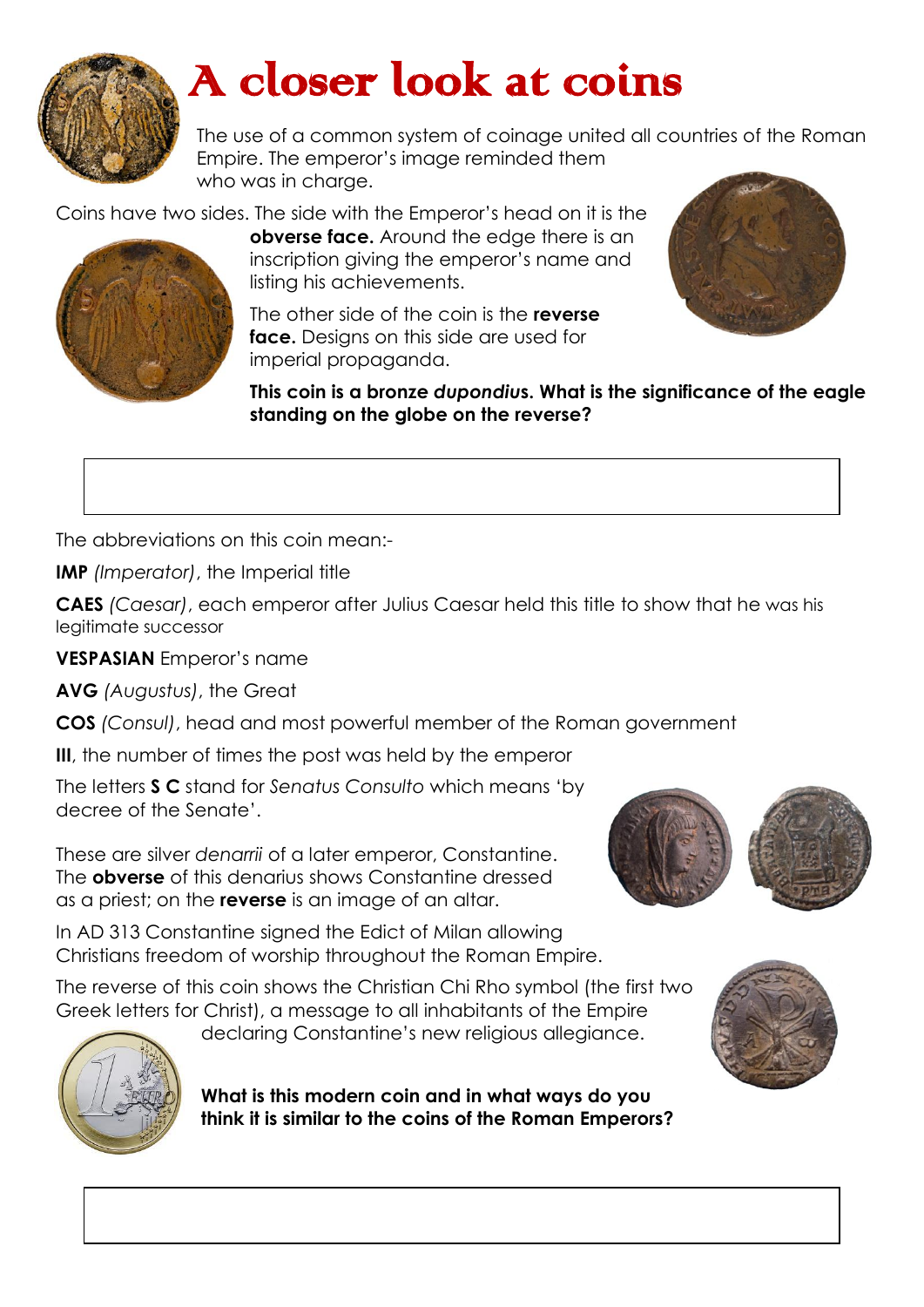

## A closer look at coins

The use of a common system of coinage united all countries of the Roman Empire. The emperor's image reminded them who was in charge.

Coins have two sides. The side with the Emperor's head on it is the



**obverse face.** Around the edge there is an inscription giving the emperor's name and listing his achievements.

The other side of the coin is the **reverse face.** Designs on this side are used for imperial propaganda.

**This coin is a bronze** *dupondiu***s. What is the significance of the eagle standing on the globe on the reverse?** 



The abbreviations on this coin mean:-

**IMP** *(Imperator)*, the Imperial title

**CAES** *(Caesar)*, each emperor after Julius Caesar held this title to show that he was his legitimate successor

**VESPASIAN** Emperor's name

**AVG** *(Augustus)*, the Great

**COS** *(Consul)*, head and most powerful member of the Roman government

**III**, the number of times the post was held by the emperor

The letters **S C** stand for *Senatus Consulto* which means 'by decree of the Senate'.

These are silver *denarrii* of a later emperor, Constantine. The **obverse** of this denarius shows Constantine dressed as a priest; on the **reverse** is an image of an altar.

In AD 313 Constantine signed the Edict of Milan allowing Christians freedom of worship throughout the Roman Empire.

The reverse of this coin shows the Christian Chi Rho symbol (the first two Greek letters for Christ), a message to all inhabitants of the Empire

declaring Constantine's new religious allegiance.





**What is this modern coin and in what ways do you think it is similar to the coins of the Roman Emperors?**